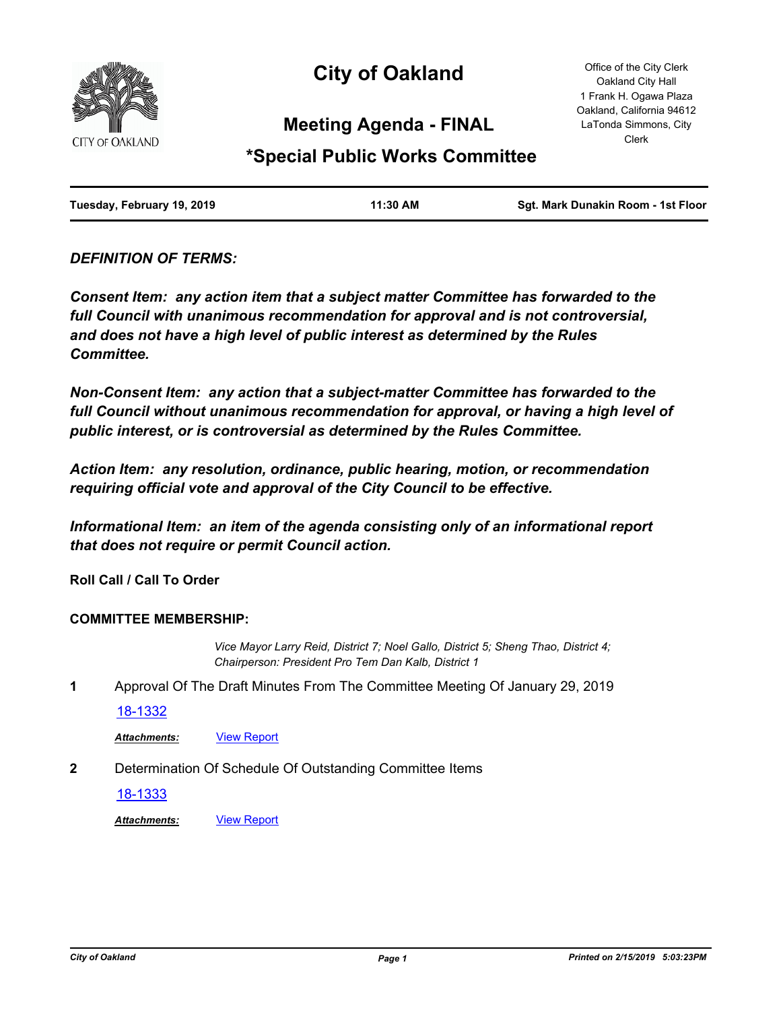

# **City of Oakland**

Office of the City Clerk Oakland City Hall 1 Frank H. Ogawa Plaza Oakland, California 94612 LaTonda Simmons, City Clerk

# **Meeting Agenda - FINAL**

# **\*Special Public Works Committee**

| Tuesday, February 19, 2019 | 11:30 AM | Sgt. Mark Dunakin Room - 1st Floor |
|----------------------------|----------|------------------------------------|
|                            |          |                                    |

## *DEFINITION OF TERMS:*

*Consent Item: any action item that a subject matter Committee has forwarded to the full Council with unanimous recommendation for approval and is not controversial, and does not have a high level of public interest as determined by the Rules Committee.*

*Non-Consent Item: any action that a subject-matter Committee has forwarded to the*  full Council without unanimous recommendation for approval, or having a high level of *public interest, or is controversial as determined by the Rules Committee.*

*Action Item: any resolution, ordinance, public hearing, motion, or recommendation requiring official vote and approval of the City Council to be effective.*

*Informational Item: an item of the agenda consisting only of an informational report that does not require or permit Council action.*

**Roll Call / Call To Order**

### **COMMITTEE MEMBERSHIP:**

*Vice Mayor Larry Reid, District 7; Noel Gallo, District 5; Sheng Thao, District 4; Chairperson: President Pro Tem Dan Kalb, District 1*

**1** Approval Of The Draft Minutes From The Committee Meeting Of January 29, 2019

[18-1332](http://oakland.legistar.com/gateway.aspx?m=l&id=/matter.aspx?key=29758)

Attachments: **[View Report](http://oakland.legistar.com/gateway.aspx?M=F&ID=dbf73942-92c0-4877-a3c3-f1a1f234c190.pdf)** 

**2** Determination Of Schedule Of Outstanding Committee Items

[18-1333](http://oakland.legistar.com/gateway.aspx?m=l&id=/matter.aspx?key=29759)

*Attachments:* [View Report](http://oakland.legistar.com/gateway.aspx?M=F&ID=b092aae0-f6f8-4343-8705-916cca180255.pdf)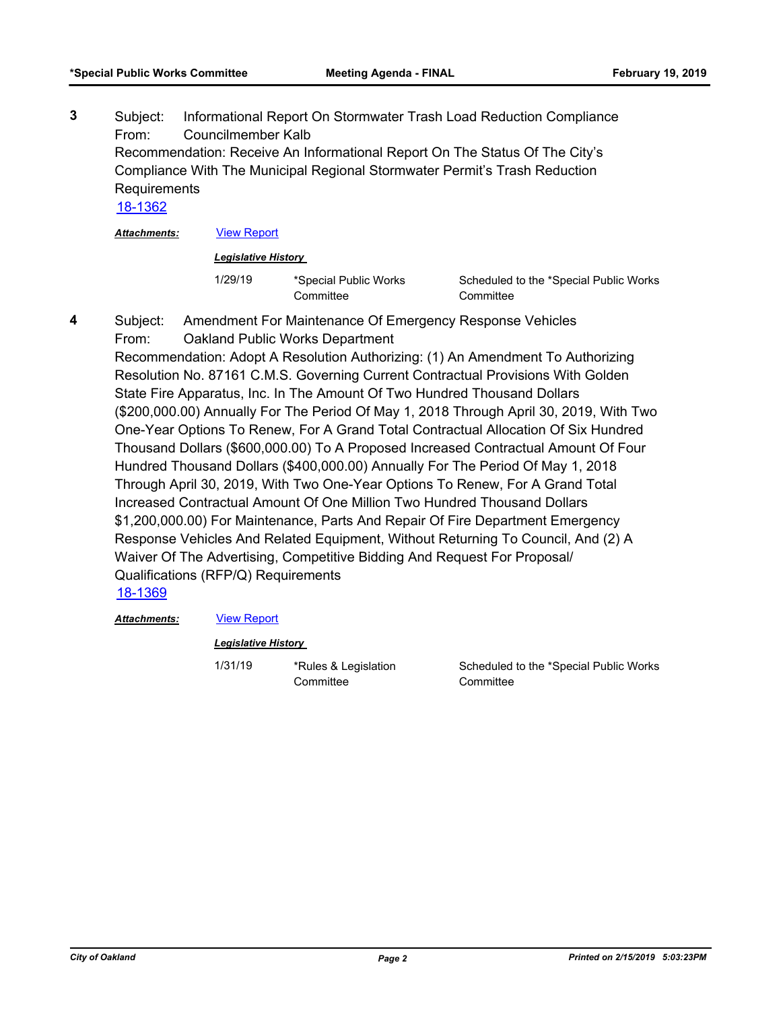Subject: Informational Report On Stormwater Trash Load Reduction Compliance From: Councilmember Kalb Recommendation: Receive An Informational Report On The Status Of The City's Compliance With The Municipal Regional Stormwater Permit's Trash Reduction Requirements **3**

[18-1362](http://oakland.legistar.com/gateway.aspx?m=l&id=/matter.aspx?key=29788)

*Attachments:* [View Report](http://oakland.legistar.com/gateway.aspx?M=F&ID=62152fb1-e26a-4481-9b4e-fe38f2ea71bd.pdf)

#### *Legislative History*

1/29/19 \*Special Public Works **Committee** 

Scheduled to the \*Special Public Works **Committee** 

Subject: Amendment For Maintenance Of Emergency Response Vehicles From: Oakland Public Works Department **4**

Recommendation: Adopt A Resolution Authorizing: (1) An Amendment To Authorizing Resolution No. 87161 C.M.S. Governing Current Contractual Provisions With Golden State Fire Apparatus, Inc. In The Amount Of Two Hundred Thousand Dollars (\$200,000.00) Annually For The Period Of May 1, 2018 Through April 30, 2019, With Two One-Year Options To Renew, For A Grand Total Contractual Allocation Of Six Hundred Thousand Dollars (\$600,000.00) To A Proposed Increased Contractual Amount Of Four Hundred Thousand Dollars (\$400,000.00) Annually For The Period Of May 1, 2018 Through April 30, 2019, With Two One-Year Options To Renew, For A Grand Total Increased Contractual Amount Of One Million Two Hundred Thousand Dollars \$1,200,000.00) For Maintenance, Parts And Repair Of Fire Department Emergency Response Vehicles And Related Equipment, Without Returning To Council, And (2) A Waiver Of The Advertising, Competitive Bidding And Request For Proposal/ Qualifications (RFP/Q) Requirements

[18-1369](http://oakland.legistar.com/gateway.aspx?m=l&id=/matter.aspx?key=29795)

#### *Attachments:* [View Report](http://oakland.legistar.com/gateway.aspx?M=F&ID=9cc0f4a6-273d-48a4-8687-60db3aa7001d.pdf)

#### *Legislative History*

1/31/19 \*Rules & Legislation **Committee** 

Scheduled to the \*Special Public Works **Committee**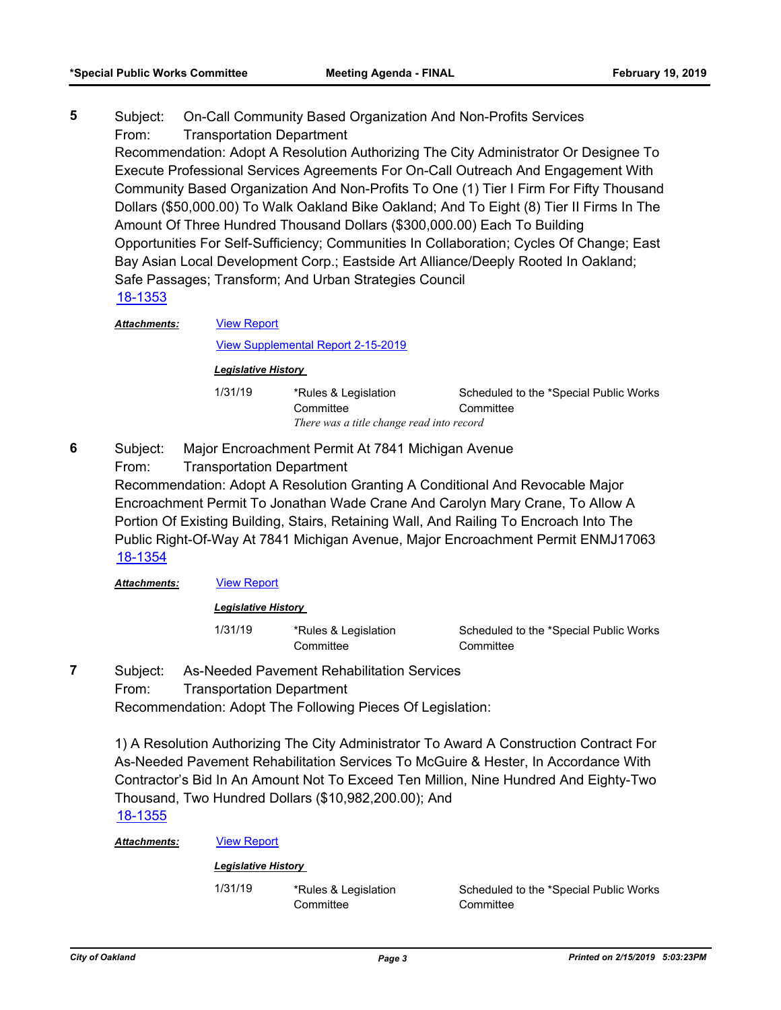Subject: On-Call Community Based Organization And Non-Profits Services From: Transportation Department **5**

Recommendation: Adopt A Resolution Authorizing The City Administrator Or Designee To Execute Professional Services Agreements For On-Call Outreach And Engagement With Community Based Organization And Non-Profits To One (1) Tier I Firm For Fifty Thousand Dollars (\$50,000.00) To Walk Oakland Bike Oakland; And To Eight (8) Tier II Firms In The Amount Of Three Hundred Thousand Dollars (\$300,000.00) Each To Building Opportunities For Self-Sufficiency; Communities In Collaboration; Cycles Of Change; East Bay Asian Local Development Corp.; Eastside Art Alliance/Deeply Rooted In Oakland; Safe Passages; Transform; And Urban Strategies Council [18-1353](http://oakland.legistar.com/gateway.aspx?m=l&id=/matter.aspx?key=29779)

[View Report](http://oakland.legistar.com/gateway.aspx?M=F&ID=6ee6d651-dabd-4dd7-86cf-f7828798276c.pdf) *Attachments:*

[View Supplemental Report 2-15-2019](http://oakland.legistar.com/gateway.aspx?M=F&ID=52dc0d3c-7940-4272-a928-d8e39bd71693.pdf)

#### *Legislative History*

| 1/31/19 | *Rules & Legislation                      | Scheduled to the *Special Public Works |  |
|---------|-------------------------------------------|----------------------------------------|--|
|         | Committee                                 | Committee                              |  |
|         | There was a title change read into record |                                        |  |

Subject: Major Encroachment Permit At 7841 Michigan Avenue From: Transportation Department Recommendation: Adopt A Resolution Granting A Conditional And Revocable Major Encroachment Permit To Jonathan Wade Crane And Carolyn Mary Crane, To Allow A Portion Of Existing Building, Stairs, Retaining Wall, And Railing To Encroach Into The Public Right-Of-Way At 7841 Michigan Avenue, Major Encroachment Permit ENMJ17063 **6** [18-1354](http://oakland.legistar.com/gateway.aspx?m=l&id=/matter.aspx?key=29780)

*Attachments:* [View Report](http://oakland.legistar.com/gateway.aspx?M=F&ID=93a152df-9328-4186-a9fa-93f8967f0017.pdf)

#### *Legislative History*

1/31/19 \*Rules & Legislation **Committee** 

Scheduled to the \*Special Public Works **Committee** 

Subject: As-Needed Pavement Rehabilitation Services From: Transportation Department **7**

Recommendation: Adopt The Following Pieces Of Legislation:

1) A Resolution Authorizing The City Administrator To Award A Construction Contract For As-Needed Pavement Rehabilitation Services To McGuire & Hester, In Accordance With Contractor's Bid In An Amount Not To Exceed Ten Million, Nine Hundred And Eighty-Two Thousand, Two Hundred Dollars (\$10,982,200.00); And

# [18-1355](http://oakland.legistar.com/gateway.aspx?m=l&id=/matter.aspx?key=29781)

*Attachments:* [View Report](http://oakland.legistar.com/gateway.aspx?M=F&ID=3a9011ec-7599-45fd-a21c-108073057a10.pdf)

#### *Legislative History*

1/31/19 \*Rules & Legislation **Committee** 

Scheduled to the \*Special Public Works **Committee**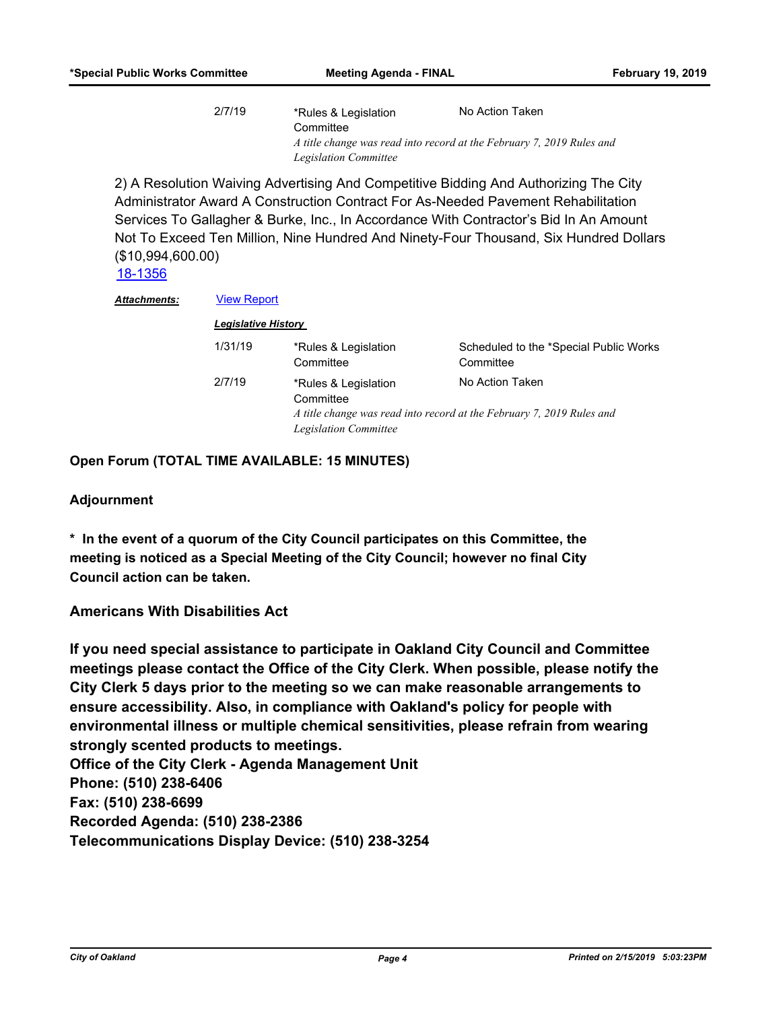| 2/7/19 | *Rules & Legislation                                                  | No Action Taken |  |
|--------|-----------------------------------------------------------------------|-----------------|--|
|        | Committee                                                             |                 |  |
|        | A title change was read into record at the February 7, 2019 Rules and |                 |  |
|        | <b>Legislation Committee</b>                                          |                 |  |

2) A Resolution Waiving Advertising And Competitive Bidding And Authorizing The City Administrator Award A Construction Contract For As-Needed Pavement Rehabilitation Services To Gallagher & Burke, Inc., In Accordance With Contractor's Bid In An Amount Not To Exceed Ten Million, Nine Hundred And Ninety-Four Thousand, Six Hundred Dollars (\$10,994,600.00)

[18-1356](http://oakland.legistar.com/gateway.aspx?m=l&id=/matter.aspx?key=29782)

| Attachments: | <b>View Report</b><br><b>Legislative History</b> |                                                                   |                                                                                          |  |
|--------------|--------------------------------------------------|-------------------------------------------------------------------|------------------------------------------------------------------------------------------|--|
|              |                                                  |                                                                   |                                                                                          |  |
|              | 2/7/19                                           | *Rules & Legislation<br>Committee<br><b>Legislation Committee</b> | No Action Taken<br>A title change was read into record at the February 7, 2019 Rules and |  |

**Open Forum (TOTAL TIME AVAILABLE: 15 MINUTES)**

#### **Adjournment**

**\* In the event of a quorum of the City Council participates on this Committee, the meeting is noticed as a Special Meeting of the City Council; however no final City Council action can be taken.**

### **Americans With Disabilities Act**

**If you need special assistance to participate in Oakland City Council and Committee meetings please contact the Office of the City Clerk. When possible, please notify the City Clerk 5 days prior to the meeting so we can make reasonable arrangements to ensure accessibility. Also, in compliance with Oakland's policy for people with environmental illness or multiple chemical sensitivities, please refrain from wearing strongly scented products to meetings. Office of the City Clerk - Agenda Management Unit Phone: (510) 238-6406 Fax: (510) 238-6699 Recorded Agenda: (510) 238-2386 Telecommunications Display Device: (510) 238-3254**